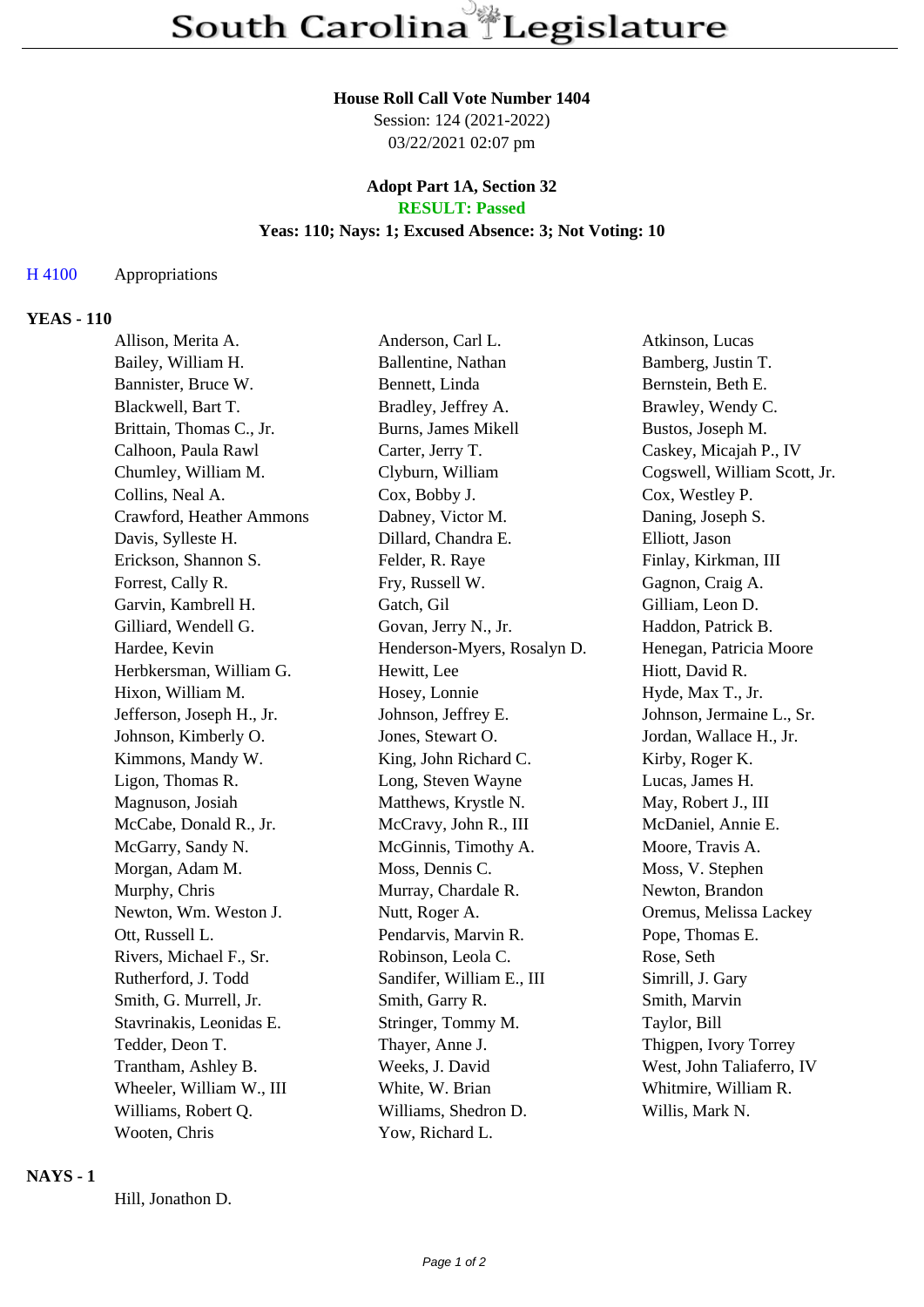# **House Roll Call Vote Number 1404**

Session: 124 (2021-2022) 03/22/2021 02:07 pm

#### **Adopt Part 1A, Section 32 RESULT: Passed**

# **Yeas: 110; Nays: 1; Excused Absence: 3; Not Voting: 10**

### H 4100 Appropriations

## **YEAS - 110**

| Allison, Merita A.        | Anderson, Carl L.           | Atkinson, Lucas              |
|---------------------------|-----------------------------|------------------------------|
| Bailey, William H.        | Ballentine, Nathan          | Bamberg, Justin T.           |
| Bannister, Bruce W.       | Bennett, Linda              | Bernstein, Beth E.           |
| Blackwell, Bart T.        | Bradley, Jeffrey A.         | Brawley, Wendy C.            |
| Brittain, Thomas C., Jr.  | Burns, James Mikell         | Bustos, Joseph M.            |
| Calhoon, Paula Rawl       | Carter, Jerry T.            | Caskey, Micajah P., IV       |
| Chumley, William M.       | Clyburn, William            | Cogswell, William Scott, Jr. |
| Collins, Neal A.          | Cox, Bobby J.               | Cox, Westley P.              |
| Crawford, Heather Ammons  | Dabney, Victor M.           | Daning, Joseph S.            |
| Davis, Sylleste H.        | Dillard, Chandra E.         | Elliott, Jason               |
| Erickson, Shannon S.      | Felder, R. Raye             | Finlay, Kirkman, III         |
| Forrest, Cally R.         | Fry, Russell W.             | Gagnon, Craig A.             |
| Garvin, Kambrell H.       | Gatch, Gil                  | Gilliam, Leon D.             |
| Gilliard, Wendell G.      | Govan, Jerry N., Jr.        | Haddon, Patrick B.           |
| Hardee, Kevin             | Henderson-Myers, Rosalyn D. | Henegan, Patricia Moore      |
| Herbkersman, William G.   | Hewitt, Lee                 | Hiott, David R.              |
| Hixon, William M.         | Hosey, Lonnie               | Hyde, Max T., Jr.            |
| Jefferson, Joseph H., Jr. | Johnson, Jeffrey E.         | Johnson, Jermaine L., Sr.    |
| Johnson, Kimberly O.      | Jones, Stewart O.           | Jordan, Wallace H., Jr.      |
| Kimmons, Mandy W.         | King, John Richard C.       | Kirby, Roger K.              |
| Ligon, Thomas R.          | Long, Steven Wayne          | Lucas, James H.              |
| Magnuson, Josiah          | Matthews, Krystle N.        | May, Robert J., III          |
| McCabe, Donald R., Jr.    | McCravy, John R., III       | McDaniel, Annie E.           |
| McGarry, Sandy N.         | McGinnis, Timothy A.        | Moore, Travis A.             |
| Morgan, Adam M.           | Moss, Dennis C.             | Moss, V. Stephen             |
| Murphy, Chris             | Murray, Chardale R.         | Newton, Brandon              |
| Newton, Wm. Weston J.     | Nutt, Roger A.              | Oremus, Melissa Lackey       |
| Ott, Russell L.           | Pendarvis, Marvin R.        | Pope, Thomas E.              |
| Rivers, Michael F., Sr.   | Robinson, Leola C.          | Rose, Seth                   |
| Rutherford, J. Todd       | Sandifer, William E., III   | Simrill, J. Gary             |
| Smith, G. Murrell, Jr.    | Smith, Garry R.             | Smith, Marvin                |
| Stavrinakis, Leonidas E.  | Stringer, Tommy M.          | Taylor, Bill                 |
| Tedder, Deon T.           | Thayer, Anne J.             | Thigpen, Ivory Torrey        |
| Trantham, Ashley B.       | Weeks, J. David             | West, John Taliaferro, IV    |
| Wheeler, William W., III  | White, W. Brian             | Whitmire, William R.         |
| Williams, Robert Q.       | Williams, Shedron D.        | Willis, Mark N.              |
| Wooten, Chris             | Yow, Richard L.             |                              |

#### **NAYS - 1**

Hill, Jonathon D.